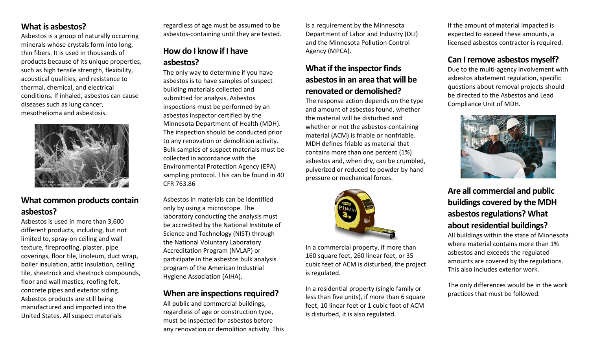#### **What is asbestos?**

Asbestos is a group of naturally occurring minerals whose crystals form into long, thin fibers. It is used in thousands of products because of its unique properties, such as high tensile strength, flexibility, acoustical qualities, and resistance to thermal, chemical, and electrical conditions. If inhaled, asbestos can cause diseases such as lung cancer, mesothelioma and asbestosis.



#### **What common products contain asbestos?**

Asbestos is used in more than 3,600 different products, including, but not limited to, spray-on ceiling and wall texture, fireproofing, plaster, pipe coverings, floor tile, linoleum, duct wrap, boiler insulation, attic insulation, ceiling tile, sheetrock and sheetrock compounds, floor and wall mastics, roofing felt, concrete pipes and exterior siding. Asbestos products are still being manufactured and imported into the United States. All suspect materials

regardless of age must be assumed to be asbestos-containing until they are tested.

# **How do I know if I have asbestos?**

The only way to determine if you have asbestos is to have samples of suspect building materials collected and submitted for analysis. Asbestos inspections must be performed by an asbestos inspector certified by the Minnesota Department of Health (MDH). The inspection should be conducted prior to any renovation or demolition activity. Bulk samples of suspect materials must be collected in accordance with the Environmental Protection Agency (EPA) sampling protocol. This can be found in 40 CFR 763.86

Asbestos in materials can be identified only by using a microscope. The laboratory conducting the analysis must be accredited by the National Institute of Science and Technology (NIST) through the National Voluntary Laboratory Accreditation Program (NVLAP) or participate in the asbestos bulk analysis program of the American Industrial Hygiene Association (AIHA).

#### **When are inspections required?**

All public and commercial buildings, regardless of age or construction type, must be inspected for asbestos before any renovation or demolition activity. This

is a requirement by the Minnesota Department of Labor and Industry (DLI) and the Minnesota Pollution Control Agency (MPCA).

## **What if the inspector finds asbestos in an area that will be renovated or demolished?**

The response action depends on the type and amount of asbestos found, whether the material will be disturbed and whether or not the asbestos-containing material (ACM) is friable or nonfriable. MDH defines friable as material that contains more than one percent (1%) asbestos and, when dry, can be crumbled, pulverized or reduced to powder by hand pressure or mechanical forces.



In a commercial property, if more than 160 square feet, 260 linear feet, or 35 cubic feet of ACM is disturbed, the project is regulated.

In a residential property (single family or less than five units), if more than 6 square feet, 10 linear feet or 1 cubic foot of ACM is disturbed, it is also regulated.

If the amount of material impacted is expected to exceed these amounts, a licensed asbestos contractor is required.

#### **Can I remove asbestos myself?**

Due to the multi-agency involvement with asbestos abatement regulation, specific questions about removal projects should be directed to the Asbestos and Lead Compliance Unit of MDH.



## **Are all commercial and public buildings covered by the MDH asbestos regulations? What about residential buildings?**

All buildings within the state of Minnesota where material contains more than 1% asbestos and exceeds the regulated amounts are covered by the regulations. This also includes exterior work.

The only differences would be in the work practices that must be followed.